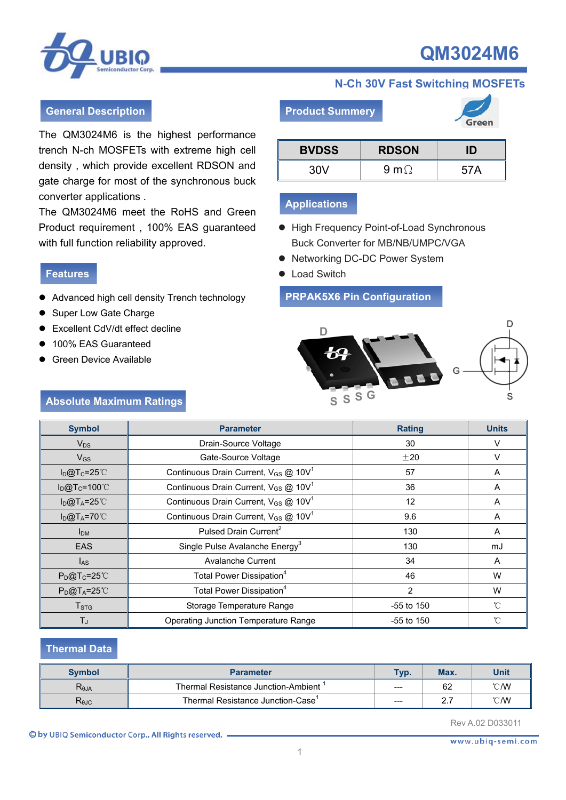



## **N-Ch 30V Fast Switching MOSFETs**

#### **General Description**

The QM3024M6 is the highest performance trench N-ch MOSFETs with extreme high cell density , which provide excellent RDSON and gate charge for most of the synchronous buck converter applications .

The QM3024M6 meet the RoHS and Green Product requirement , 100% EAS guaranteed with full function reliability approved.

#### **Features**

- Advanced high cell density Trench technology
- Super Low Gate Charge
- Excellent CdV/dt effect decline

**Absolute Maximum Ratings** 

- **100% EAS Guaranteed**
- **•** Green Device Available

# **Product Summery**

| <b>BVDSS</b> | <b>RDSON</b> | ID  |
|--------------|--------------|-----|
| 30V          | 9 m $\Omega$ | 57A |

## **Applications**

- High Frequency Point-of-Load Synchronous Buck Converter for MB/NB/UMPC/VGA
- Networking DC-DC Power System
- Load Switch

### **PRPAK5X6 Pin Configuration**



| <b>Symbol</b>               | <b>Parameter</b>                                             | <b>Rating</b> | <b>Units</b> |  |
|-----------------------------|--------------------------------------------------------------|---------------|--------------|--|
| $V_{DS}$                    | Drain-Source Voltage<br>30                                   |               | V            |  |
| $V_{GS}$                    | Gate-Source Voltage<br>$\pm 20$                              |               |              |  |
| $I_D@T_C=25°C$              | Continuous Drain Current, $V_{GS}$ @ 10V <sup>1</sup>        | 57            | A            |  |
| $I_D@T_C=100^{\circ}C$      | Continuous Drain Current, V <sub>GS</sub> @ 10V <sup>1</sup> | 36            | A            |  |
| $I_D@T_A=25°C$              | Continuous Drain Current, V <sub>GS</sub> @ 10V <sup>1</sup> | 12            | A            |  |
| $I_D@T_A=70°C$              | Continuous Drain Current, $V_{GS}$ @ 10V <sup>1</sup>        | 9.6           | A            |  |
| I <sub>DM</sub>             | Pulsed Drain Current <sup>2</sup>                            | 130           | A            |  |
| <b>EAS</b>                  | Single Pulse Avalanche Energy <sup>3</sup>                   | 130           | mJ           |  |
| $I_{AS}$                    | <b>Avalanche Current</b>                                     | 34            | A            |  |
| $P_{D}@T_{C} = 25^{\circ}C$ | Total Power Dissipation <sup>4</sup>                         | 46            | W            |  |
| $P_{D}@T_{A}=25^{\circ}C$   | Total Power Dissipation <sup>4</sup>                         | 2             | W            |  |
| T <sub>STG</sub>            | Storage Temperature Range                                    | $-55$ to 150  | °C           |  |
| T <sub>J</sub>              | Operating Junction Temperature Range                         | $-55$ to 150  | °C           |  |

# **Thermal Data**

| <b>Symbol</b>  | <b>Parameter</b>                    | $TVD$ . | Max.     | Unit |
|----------------|-------------------------------------|---------|----------|------|
| $R_{\theta$ JA | Thermal Resistance Junction-Ambient | $---$   | 62       | °C/W |
| $R_{\theta$ JC | Thermal Resistance Junction-Case    | $---$   | <u>.</u> | ℃/W  |

Rev A.02 D033011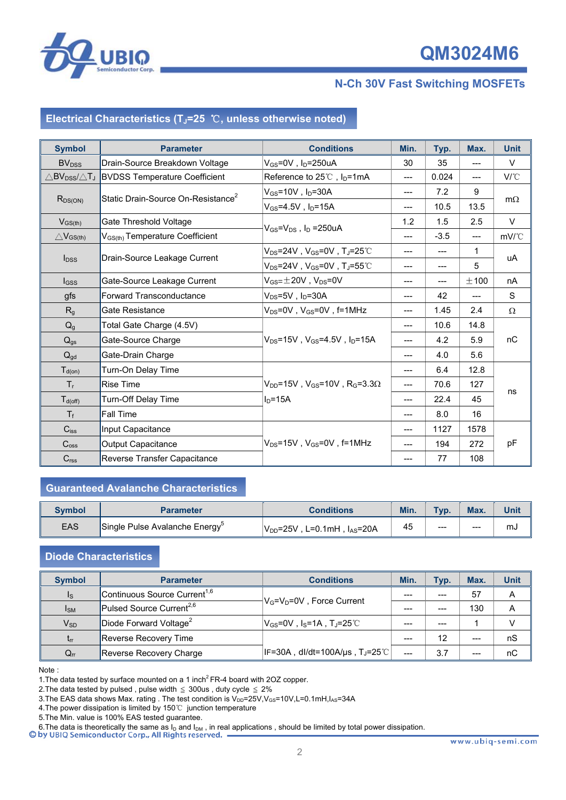

# **QM3024M6**

## **N-Ch 30V Fast Switching MOSFETs**

# **Electrical Characteristics (TJ=25** ℃**, unless otherwise noted)**

| <b>Symbol</b>                   | <b>Parameter</b>                                                                           | <b>Conditions</b>                                                      | Min.  | Typ.   | Max.  | <b>Unit</b>                                        |
|---------------------------------|--------------------------------------------------------------------------------------------|------------------------------------------------------------------------|-------|--------|-------|----------------------------------------------------|
| <b>BV</b> <sub>DSS</sub>        | Drain-Source Breakdown Voltage                                                             | $\rm V_{GS}$ =0V , I $\rm _D$ =250uA                                   | 30    | 35     | $---$ | $\vee$                                             |
|                                 | $\triangle$ BV <sub>DSS</sub> / $\triangle$ T <sub>J</sub>   BVDSS Temperature Coefficient | Reference to 25℃, I <sub>D</sub> =1mA                                  | $---$ | 0.024  | $---$ | $V^{\circ}C$                                       |
|                                 | Static Drain-Source On-Resistance <sup>2</sup>                                             | $V_{GS}$ =10V, $I_D$ =30A                                              | ---   | 7.2    | 9     | $m\Omega$                                          |
| $R_{DS(ON)}$                    |                                                                                            | $V_{GS} = 4.5V$ , $I_D = 15A$                                          | ---   | 10.5   | 13.5  |                                                    |
| $V_{GS(th)}$                    | Gate Threshold Voltage                                                                     |                                                                        | 1.2   | 1.5    | 2.5   | V                                                  |
| $\triangle$ V <sub>GS(th)</sub> | V <sub>GS(th)</sub> Temperature Coefficient                                                | $V_{GS} = V_{DS}$ , $I_D = 250uA$                                      | $---$ | $-3.5$ | $---$ | $mV$ <sup><math>\degree</math><math>C</math></sup> |
|                                 | Drain-Source Leakage Current                                                               | $V_{DS}$ =24V , $V_{GS}$ =0V , Tj=25℃                                  |       | $---$  | 1     |                                                    |
| $I_{DSS}$                       |                                                                                            | $V_{DS}$ =24V, $V_{GS}$ =0V, TJ=55℃                                    | ---   | $---$  | 5     | uA                                                 |
| $I_{GSS}$                       | Gate-Source Leakage Current                                                                | $V_{\rm GS} = \pm 20V$ , $V_{\rm DS}$ =0V                              | $---$ | $---$  | ±100  | nA                                                 |
| gfs                             | Forward Transconductance                                                                   | $V_{DS} = 5V$ , $I_D = 30A$                                            | ---   | 42     | ---   | S                                                  |
| R <sub>g</sub>                  | lGate Resistance                                                                           | $V_{DS}$ =0V, $V_{GS}$ =0V, f=1MHz                                     | $---$ | 1.45   | 2.4   | Ω                                                  |
| $Q_q$                           | Total Gate Charge (4.5V)                                                                   | $V_{DS}$ =15V . $V_{GS}$ =4.5V . In=15A                                | ---   | 10.6   | 14.8  |                                                    |
| $Q_{gs}$                        | Gate-Source Charge                                                                         |                                                                        |       | 4.2    | 5.9   | nC                                                 |
| $Q_{gd}$                        | Gate-Drain Charge                                                                          |                                                                        | ---   | 4.0    | 5.6   |                                                    |
| $T_{d(on)}$                     | Turn-On Delay Time                                                                         | $V_{DD}$ =15V, $V_{GS}$ =10V, R <sub>G</sub> =3.3 $\Omega$<br>$ID=15A$ | ---   | 6.4    | 12.8  |                                                    |
| $T_{r}$                         | ∥Rise Time                                                                                 |                                                                        | ---   | 70.6   | 127   |                                                    |
| $T_{d(off)}$                    | Turn-Off Delay Time                                                                        |                                                                        | ---   | 22.4   | 45    | ns                                                 |
| $T_f$                           | Fall Time                                                                                  |                                                                        | ---   | 8.0    | 16    |                                                    |
| $C_{iss}$                       | ∥Input Capacitance                                                                         | $V_{DS}$ =15V, $V_{GS}$ =0V, f=1MHz                                    | $---$ | 1127   | 1578  |                                                    |
| C <sub>oss</sub>                | Output Capacitance                                                                         |                                                                        |       | 194    | 272   | pF                                                 |
| $C_{\text{rss}}$                | Reverse Transfer Capacitance                                                               |                                                                        | $---$ | 77     | 108   |                                                    |

#### **Guaranteed Avalanche Characteristics**

| Svmbol     | Parameter                                  | <b>Conditions</b>                         | Min. | Typ.  | Max.  | Unit |
|------------|--------------------------------------------|-------------------------------------------|------|-------|-------|------|
| <b>EAS</b> | Single Pulse Avalanche Energy <sup>3</sup> | $ V_{DD} = 25V$ , L=0.1mH, $I_{AS} = 20A$ | 45   | $---$ | $---$ | mu   |

#### **Diode Characteristics**

| <b>Symbol</b>  | <b>Parameter</b>                         | <b>Conditions</b>                                          | Min.    | Typ.    | Max.  | <b>Unit</b>    |
|----------------|------------------------------------------|------------------------------------------------------------|---------|---------|-------|----------------|
| I <sub>S</sub> | Continuous Source Current <sup>1,6</sup> |                                                            | $---$   | ---     | 57    | $\overline{A}$ |
| $I_{SM}$       | Pulsed Source Current <sup>2,6</sup>     | $ V_G=V_D=0V$ , Force Current                              | $- - -$ | $- - -$ | 130   | Α              |
| $V_{SD}$       | Diode Forward Voltage <sup>2</sup>       | $ V_{\rm GS}$ =0V , I $_{\rm S}$ =1A , T $_{\rm J}$ =25℃ . | ---     | $---$   |       |                |
| $t_{rr}$       | Reverse Recovery Time                    |                                                            | $---$   | 12      | $---$ | nS             |
| $Q_{rr}$       | Reverse Recovery Charge                  | $ $ IF=30A, dl/dt=100A/µs, T <sub>J</sub> =25°C            | $---$   | 3.7     | ---   | пC             |

Note :

1. The data tested by surface mounted on a 1 inch<sup>2</sup> FR-4 board with 2OZ copper.

2. The data tested by pulsed, pulse width  $\leq$  300us, duty cycle  $\leq$  2%

3. The EAS data shows Max. rating . The test condition is  $V_{DD}$ =25V, $V_{GS}$ =10V,L=0.1mH,I<sub>AS</sub>=34A

4.The power dissipation is limited by 150℃ junction temperature

5.The Min. value is 100% EAS tested guarantee.

6. The data is theoretically the same as  $I_D$  and  $I_{DM}$ , in real applications , should be limited by total power dissipation.<br>© by UBIQ Semiconductor Corp., All Rights reserved.  $\blacksquare$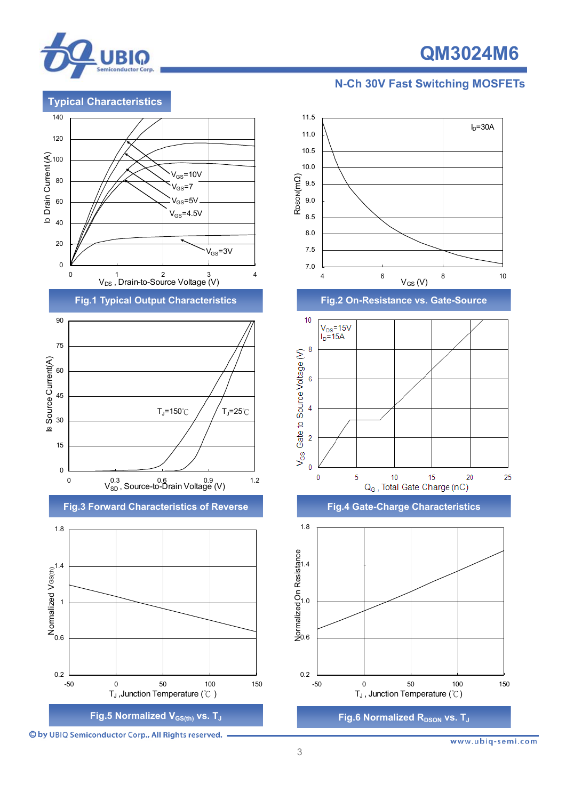

**Typical Characteristics** 

I

# **QM3024M6**

#### **N-Ch 30V Fast Switching MOSFETs**



<sup>©</sup> by UBIQ Semiconductor Corp., All Rights reserved.







www.ubiq-semi.com